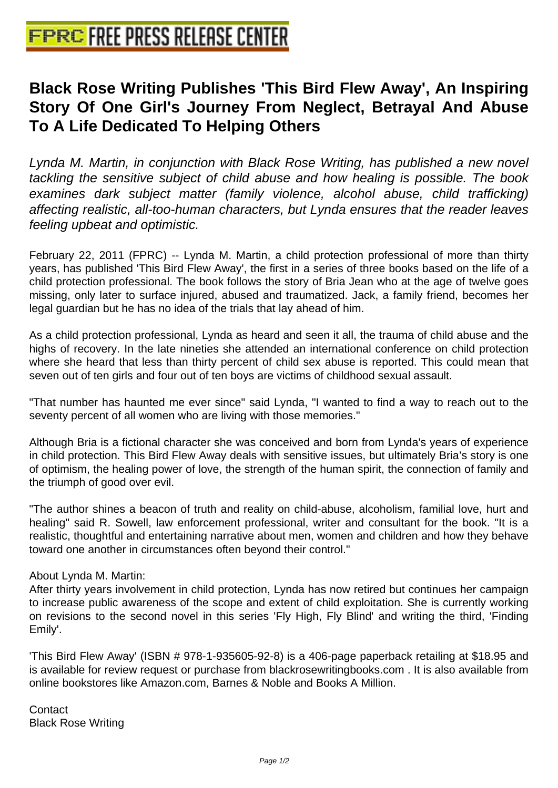# **[Black Rose Writing Publishes 'Thi](http://www.free-press-release-center.info)s Bird Flew Away', An Inspiring Story Of One Girl's Journey From Neglect, Betrayal And Abuse To A Life Dedicated To Helping Others**

Lynda M. Martin, in conjunction with Black Rose Writing, has published a new novel tackling the sensitive subject of child abuse and how healing is possible. The book examines dark subject matter (family violence, alcohol abuse, child trafficking) affecting realistic, all-too-human characters, but Lynda ensures that the reader leaves feeling upbeat and optimistic.

February 22, 2011 (FPRC) -- Lynda M. Martin, a child protection professional of more than thirty years, has published 'This Bird Flew Away', the first in a series of three books based on the life of a child protection professional. The book follows the story of Bria Jean who at the age of twelve goes missing, only later to surface injured, abused and traumatized. Jack, a family friend, becomes her legal guardian but he has no idea of the trials that lay ahead of him.

As a child protection professional, Lynda as heard and seen it all, the trauma of child abuse and the highs of recovery. In the late nineties she attended an international conference on child protection where she heard that less than thirty percent of child sex abuse is reported. This could mean that seven out of ten girls and four out of ten boys are victims of childhood sexual assault.

"That number has haunted me ever since" said Lynda, "I wanted to find a way to reach out to the seventy percent of all women who are living with those memories."

Although Bria is a fictional character she was conceived and born from Lynda's years of experience in child protection. This Bird Flew Away deals with sensitive issues, but ultimately Bria's story is one of optimism, the healing power of love, the strength of the human spirit, the connection of family and the triumph of good over evil.

"The author shines a beacon of truth and reality on child-abuse, alcoholism, familial love, hurt and healing" said R. Sowell, law enforcement professional, writer and consultant for the book. "It is a realistic, thoughtful and entertaining narrative about men, women and children and how they behave toward one another in circumstances often beyond their control."

### About Lynda M. Martin:

After thirty years involvement in child protection, Lynda has now retired but continues her campaign to increase public awareness of the scope and extent of child exploitation. She is currently working on revisions to the second novel in this series 'Fly High, Fly Blind' and writing the third, 'Finding Emily'.

'This Bird Flew Away' (ISBN # 978-1-935605-92-8) is a 406-page paperback retailing at \$18.95 and is available for review request or purchase from blackrosewritingbooks.com . It is also available from online bookstores like Amazon.com, Barnes & Noble and Books A Million.

**Contact** Black Rose Writing